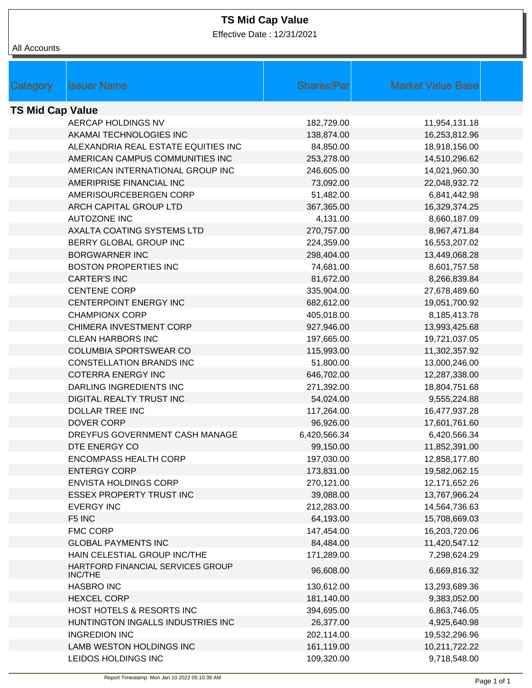## **TS Mid Cap Value**

Effective Date : 12/31/2021

| All Accounts            |                                                     |                   |                          |  |
|-------------------------|-----------------------------------------------------|-------------------|--------------------------|--|
|                         |                                                     |                   |                          |  |
|                         |                                                     |                   |                          |  |
| <b>Category</b>         | <b>Issuer Name</b>                                  | <b>Shares/Par</b> | <b>Market Value Base</b> |  |
|                         |                                                     |                   |                          |  |
| <b>TS Mid Cap Value</b> |                                                     |                   |                          |  |
|                         | AERCAP HOLDINGS NV                                  | 182,729.00        | 11,954,131.18            |  |
|                         | AKAMAI TECHNOLOGIES INC                             | 138,874.00        | 16,253,812.96            |  |
|                         | ALEXANDRIA REAL ESTATE EQUITIES INC                 | 84,850.00         | 18,918,156.00            |  |
|                         | AMERICAN CAMPUS COMMUNITIES INC                     | 253,278.00        | 14,510,296.62            |  |
|                         | AMERICAN INTERNATIONAL GROUP INC                    | 246,605.00        | 14,021,960.30            |  |
|                         | AMERIPRISE FINANCIAL INC                            | 73,092.00         | 22,048,932.72            |  |
|                         | AMERISOURCEBERGEN CORP                              | 51,482.00         | 6,841,442.98             |  |
|                         | ARCH CAPITAL GROUP LTD                              | 367,365.00        | 16,329,374.25            |  |
|                         | <b>AUTOZONE INC</b>                                 | 4,131.00          | 8,660,187.09             |  |
|                         | AXALTA COATING SYSTEMS LTD                          | 270,757.00        | 8,967,471.84             |  |
|                         | BERRY GLOBAL GROUP INC                              | 224,359.00        | 16,553,207.02            |  |
|                         | <b>BORGWARNER INC</b>                               | 298,404.00        | 13,449,068.28            |  |
|                         | <b>BOSTON PROPERTIES INC</b>                        | 74,681.00         | 8,601,757.58             |  |
|                         | <b>CARTER'S INC</b>                                 | 81,672.00         | 8,266,839.84             |  |
|                         | <b>CENTENE CORP</b>                                 | 335,904.00        | 27,678,489.60            |  |
|                         | CENTERPOINT ENERGY INC                              | 682,612.00        | 19,051,700.92            |  |
|                         | <b>CHAMPIONX CORP</b>                               | 405,018.00        | 8,185,413.78             |  |
|                         | CHIMERA INVESTMENT CORP                             | 927,946.00        | 13,993,425.68            |  |
|                         | <b>CLEAN HARBORS INC</b>                            | 197,665.00        | 19,721,037.05            |  |
|                         | <b>COLUMBIA SPORTSWEAR CO</b>                       | 115,993.00        | 11,302,357.92            |  |
|                         | <b>CONSTELLATION BRANDS INC</b>                     | 51,800.00         | 13,000,246.00            |  |
|                         | <b>COTERRA ENERGY INC</b>                           | 646,702.00        | 12,287,338.00            |  |
|                         | DARLING INGREDIENTS INC                             | 271,392.00        | 18,804,751.68            |  |
|                         | <b>DIGITAL REALTY TRUST INC</b>                     | 54,024.00         | 9,555,224.88             |  |
|                         | DOLLAR TREE INC                                     | 117,264.00        | 16,477,937.28            |  |
|                         | <b>DOVER CORP</b>                                   | 96,926.00         | 17,601,761.60            |  |
|                         | DREYFUS GOVERNMENT CASH MANAGE                      | 6,420,566.34      | 6,420,566.34             |  |
|                         | DTE ENERGY CO                                       | 99,150.00         | 11,852,391.00            |  |
|                         | <b>ENCOMPASS HEALTH CORP</b>                        | 197,030.00        | 12,858,177.80            |  |
|                         | <b>ENTERGY CORP</b>                                 | 173,831.00        | 19,582,062.15            |  |
|                         | <b>ENVISTA HOLDINGS CORP</b>                        | 270,121.00        | 12,171,652.26            |  |
|                         | <b>ESSEX PROPERTY TRUST INC</b>                     | 39,088.00         | 13,767,966.24            |  |
|                         | <b>EVERGY INC</b>                                   | 212,283.00        | 14,564,736.63            |  |
|                         | F5 INC                                              | 64,193.00         | 15,708,669.03            |  |
|                         | <b>FMC CORP</b>                                     | 147,454.00        | 16,203,720.06            |  |
|                         | <b>GLOBAL PAYMENTS INC</b>                          | 84,484.00         | 11,420,547.12            |  |
|                         | HAIN CELESTIAL GROUP INC/THE                        | 171,289.00        | 7,298,624.29             |  |
|                         | HARTFORD FINANCIAL SERVICES GROUP<br><b>INC/THE</b> | 96,608.00         | 6,669,816.32             |  |
|                         | <b>HASBRO INC</b>                                   | 130,612.00        | 13,293,689.36            |  |
|                         | <b>HEXCEL CORP</b>                                  | 181,140.00        | 9,383,052.00             |  |
|                         | HOST HOTELS & RESORTS INC                           | 394,695.00        | 6,863,746.05             |  |
|                         | HUNTINGTON INGALLS INDUSTRIES INC                   | 26,377.00         | 4,925,640.98             |  |
|                         | <b>INGREDION INC</b>                                | 202,114.00        | 19,532,296.96            |  |
|                         | LAMB WESTON HOLDINGS INC                            | 161,119.00        | 10,211,722.22            |  |
|                         | LEIDOS HOLDINGS INC                                 | 109,320.00        | 9,718,548.00             |  |